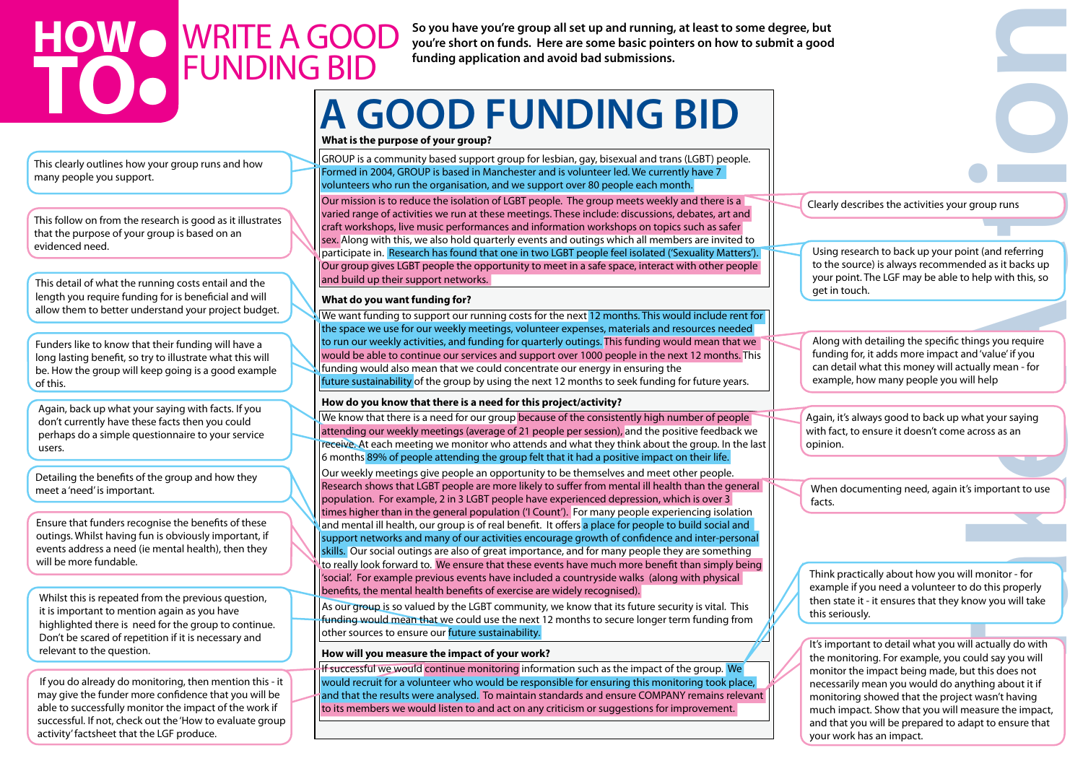**you're short on funds. Here are some basic pointers on how to submit a good** 

**funding application and avoid bad submissions.**

# **A GOOD FUNDING BID**

**Take Act and Server Act and Server Act and Server Act and Server Act and Server Act and Server Act and Server Act and Server Act and Server Act and Server Act and Server Act and Server Act and Server Act and Server Act an** Using research to back up your point (and referring to the source) is always recommended as it backs up your point. The LGF may be able to help with this, so get in touch.

Again, it's always good to back up what your saying with fact, to ensure it doesn't come across as an opinion.

Clearly describes the activities your group runs

Along with detailing the specific things you require funding for, it adds more impact and 'value' if you can detail what this money will actually mean - for example, how many people you will help

When documenting need, again it's important to use facts.

Think practically about how you will monitor - for example if you need a volunteer to do this properly then state it - it ensures that they know you will take this seriously.

It's important to detail what you will actually do with the monitoring. For example, you could say you will monitor the impact being made, but this does not necessarily mean you would do anything about it if monitoring showed that the project wasn't having much impact. Show that you will measure the impact, and that you will be prepared to adapt to ensure that your work has an impact.

### WRITE A GOOD funding bid **HOW TOWO** WRITE A GOOD Soyou have you're group all set up and running, at least to some degree, but <br>
FUNDING BID funding application and avoid bad submissions.<br>
A GOOD FUNDING BID

This clearly outlines how your group runs and how many people you support.

This follow on from the research is good as it illustrates that the purpose of your group is based on an evidenced need.

This detail of what the running costs entail and the length you require funding for is beneficial and will allow them to better understand your project budget.

Funders like to know that their funding will have a long lasting benefit, so try to illustrate what this will be. How the group will keep going is a good example of this.

Detailing the benefits of the group and how they meet a 'need' is important.

Again, back up what your saying with facts. If you don't currently have these facts then you could perhaps do a simple questionnaire to your service users.

Ensure that funders recognise the benefits of these outings. Whilst having fun is obviously important, if events address a need (ie mental health), then they will be more fundable.

We know that there is a need for our group because of the consistently high number of people attending our weekly meetings (average of 21 people per session), and the positive feedback we receive. At each meeting we monitor who attends and what they think about the group. In the last 6 months 89% of people attending the group felt that it had a positive impact on their life.

Whilst this is repeated from the previous question, it is important to mention again as you have highlighted there is need for the group to continue. Don't be scared of repetition if it is necessary and relevant to the question.

 If you do already do monitoring, then mention this - it may give the funder more confidence that you will be able to successfully monitor the impact of the work if successful. If not, check out the 'How to evaluate group activity' factsheet that the LGF produce.

**What is the purpose of your group?**

GROUP is a community based support group for lesbian, gay, bisexual and trans (LGBT) people. Formed in 2004, GROUP is based in Manchester and is volunteer led. We currently have 7 volunteers who run the organisation, and we support over 80 people each month.

If successful we would continue monitoring information such as the impact of the group. We would recruit for a volunteer who would be responsible for ensuring this monitoring took place, and that the results were analysed. To maintain standards and ensure COMPANY remains relevant to its members we would listen to and act on any criticism or suggestions for improvement.

Our mission is to reduce the isolation of LGBT people. The group meets weekly and there is a varied range of activities we run at these meetings. These include: discussions, debates, art and craft workshops, live music performances and information workshops on topics such as safer sex. Along with this, we also hold quarterly events and outings which all members are invited to participate in. Research has found that one in two LGBT people feel isolated ('Sexuality Matters'). Our group gives LGBT people the opportunity to meet in a safe space, interact with other people and build up their support networks.

#### **What do you want funding for?**

We want funding to support our running costs for the next 12 months. This would include rent for the space we use for our weekly meetings, volunteer expenses, materials and resources needed to run our weekly activities, and funding for quarterly outings. This funding would mean that we would be able to continue our services and support over 1000 people in the next 12 months. This funding would also mean that we could concentrate our energy in ensuring the future sustainability of the group by using the next 12 months to seek funding for future years.

#### **How do you know that there is a need for this project/activity?**

Our weekly meetings give people an opportunity to be themselves and meet other people. Research shows that LGBT people are more likely to suffer from mental ill health than the general population. For example, 2 in 3 LGBT people have experienced depression, which is over 3 times higher than in the general population ('I Count'). For many people experiencing isolation and mental ill health, our group is of real benefit. It offers a place for people to build social and support networks and many of our activities encourage growth of confidence and inter-personal skills. Our social outings are also of great importance, and for many people they are something to really look forward to. We ensure that these events have much more benefit than simply being 'social'. For example previous events have included a countryside walks (along with physical benefits, the mental health benefits of exercise are widely recognised).

As our group is so valued by the LGBT community, we know that its future security is vital. This funding would mean that we could use the next 12 months to secure longer term funding from other sources to ensure our future sustainability.

#### **How will you measure the impact of your work?**